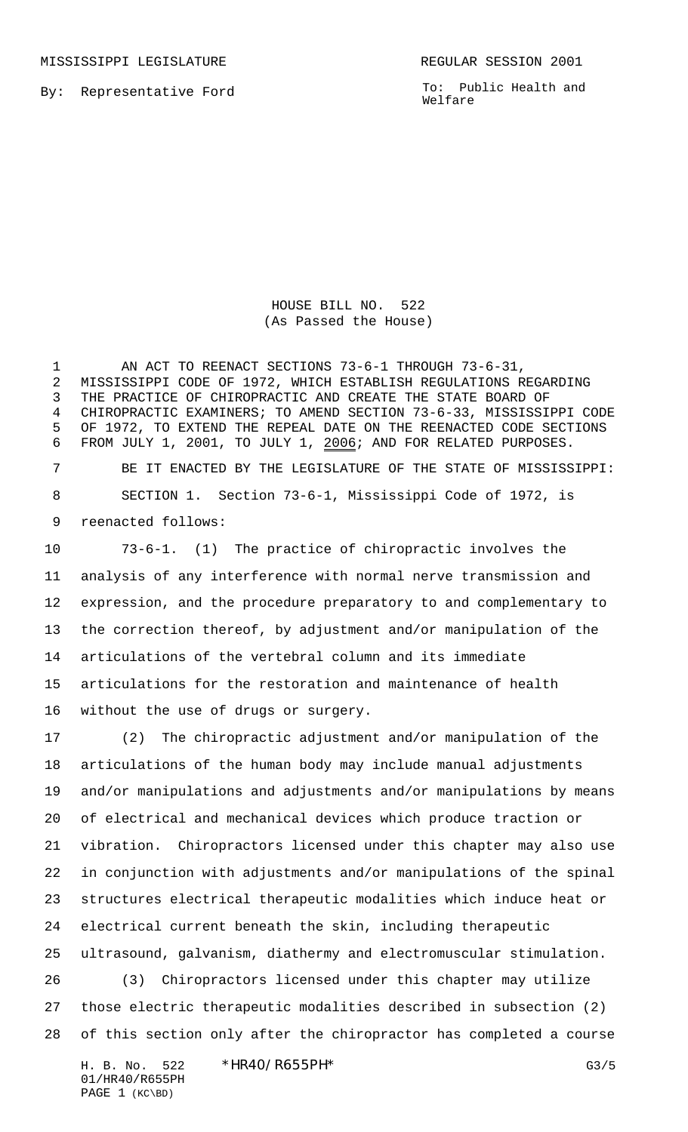MISSISSIPPI LEGISLATURE **REGULAR SESSION 2001** 

By: Representative Ford

To: Public Health and Welfare

HOUSE BILL NO. 522 (As Passed the House)

1 AN ACT TO REENACT SECTIONS 73-6-1 THROUGH 73-6-31, MISSISSIPPI CODE OF 1972, WHICH ESTABLISH REGULATIONS REGARDING THE PRACTICE OF CHIROPRACTIC AND CREATE THE STATE BOARD OF CHIROPRACTIC EXAMINERS; TO AMEND SECTION 73-6-33, MISSISSIPPI CODE OF 1972, TO EXTEND THE REPEAL DATE ON THE REENACTED CODE SECTIONS FROM JULY 1, 2001, TO JULY 1, 2006; AND FOR RELATED PURPOSES. BE IT ENACTED BY THE LEGISLATURE OF THE STATE OF MISSISSIPPI: SECTION 1. Section 73-6-1, Mississippi Code of 1972, is reenacted follows:

 73-6-1. (1) The practice of chiropractic involves the analysis of any interference with normal nerve transmission and expression, and the procedure preparatory to and complementary to the correction thereof, by adjustment and/or manipulation of the articulations of the vertebral column and its immediate articulations for the restoration and maintenance of health without the use of drugs or surgery.

 (2) The chiropractic adjustment and/or manipulation of the articulations of the human body may include manual adjustments and/or manipulations and adjustments and/or manipulations by means of electrical and mechanical devices which produce traction or vibration. Chiropractors licensed under this chapter may also use in conjunction with adjustments and/or manipulations of the spinal structures electrical therapeutic modalities which induce heat or electrical current beneath the skin, including therapeutic ultrasound, galvanism, diathermy and electromuscular stimulation. (3) Chiropractors licensed under this chapter may utilize those electric therapeutic modalities described in subsection (2) of this section only after the chiropractor has completed a course

H. B. No. 522 \*HR40/R655PH\* G3/5 01/HR40/R655PH PAGE 1 (KC\BD)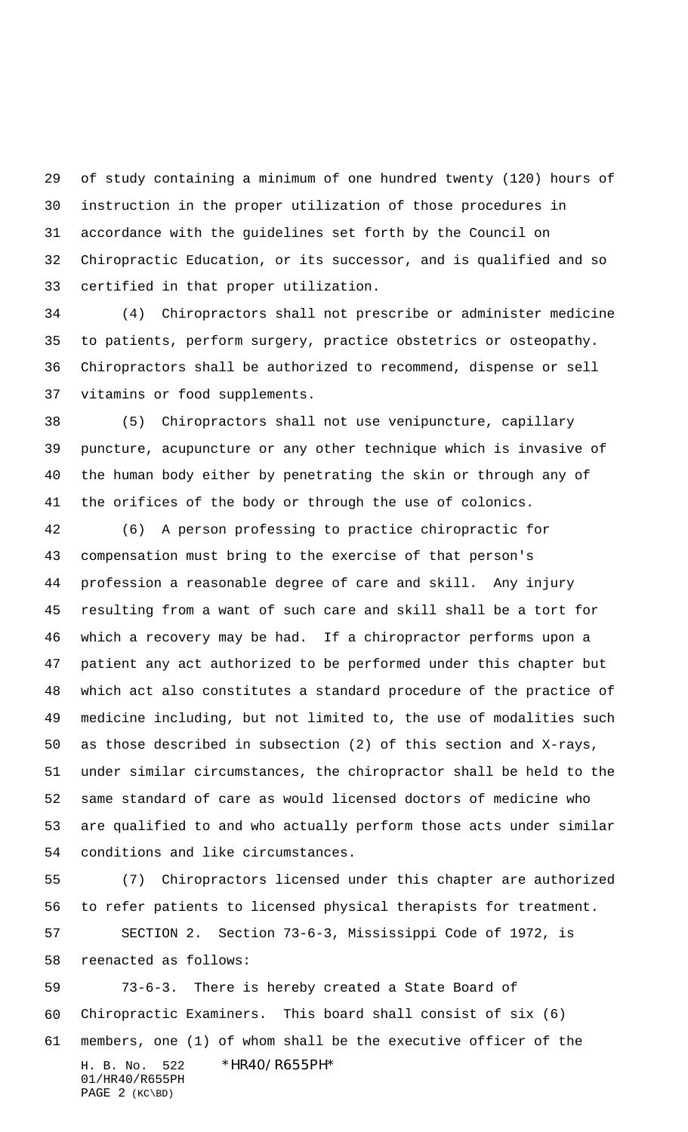of study containing a minimum of one hundred twenty (120) hours of instruction in the proper utilization of those procedures in accordance with the guidelines set forth by the Council on Chiropractic Education, or its successor, and is qualified and so certified in that proper utilization.

 (4) Chiropractors shall not prescribe or administer medicine to patients, perform surgery, practice obstetrics or osteopathy. Chiropractors shall be authorized to recommend, dispense or sell vitamins or food supplements.

 (5) Chiropractors shall not use venipuncture, capillary puncture, acupuncture or any other technique which is invasive of the human body either by penetrating the skin or through any of the orifices of the body or through the use of colonics.

 (6) A person professing to practice chiropractic for compensation must bring to the exercise of that person's profession a reasonable degree of care and skill. Any injury resulting from a want of such care and skill shall be a tort for which a recovery may be had. If a chiropractor performs upon a patient any act authorized to be performed under this chapter but which act also constitutes a standard procedure of the practice of medicine including, but not limited to, the use of modalities such as those described in subsection (2) of this section and X-rays, under similar circumstances, the chiropractor shall be held to the same standard of care as would licensed doctors of medicine who are qualified to and who actually perform those acts under similar conditions and like circumstances.

 (7) Chiropractors licensed under this chapter are authorized to refer patients to licensed physical therapists for treatment.

 SECTION 2. Section 73-6-3, Mississippi Code of 1972, is reenacted as follows:

H. B. No. 522 \*HR40/R655PH\* 01/HR40/R655PH PAGE 2 (KC\BD) 73-6-3. There is hereby created a State Board of Chiropractic Examiners. This board shall consist of six (6) members, one (1) of whom shall be the executive officer of the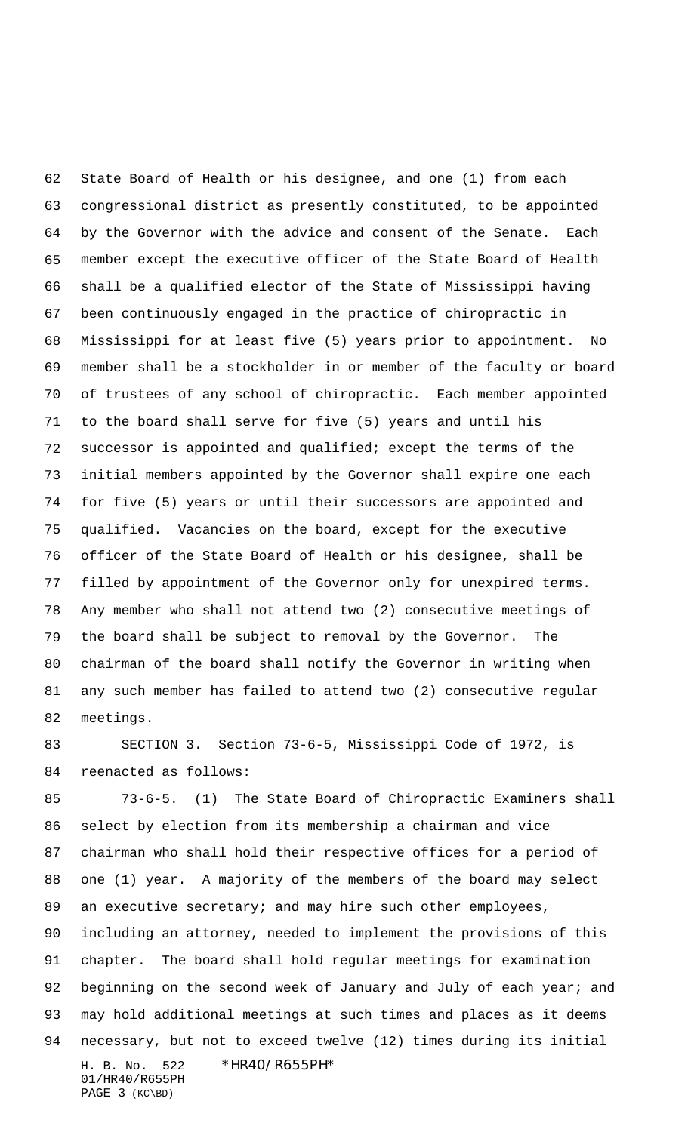State Board of Health or his designee, and one (1) from each congressional district as presently constituted, to be appointed by the Governor with the advice and consent of the Senate. Each member except the executive officer of the State Board of Health shall be a qualified elector of the State of Mississippi having been continuously engaged in the practice of chiropractic in Mississippi for at least five (5) years prior to appointment. No member shall be a stockholder in or member of the faculty or board of trustees of any school of chiropractic. Each member appointed to the board shall serve for five (5) years and until his successor is appointed and qualified; except the terms of the initial members appointed by the Governor shall expire one each for five (5) years or until their successors are appointed and qualified. Vacancies on the board, except for the executive officer of the State Board of Health or his designee, shall be filled by appointment of the Governor only for unexpired terms. Any member who shall not attend two (2) consecutive meetings of the board shall be subject to removal by the Governor. The chairman of the board shall notify the Governor in writing when any such member has failed to attend two (2) consecutive regular meetings.

 SECTION 3. Section 73-6-5, Mississippi Code of 1972, is reenacted as follows:

H. B. No. 522 \*HR40/R655PH\* 01/HR40/R655PH 73-6-5. (1) The State Board of Chiropractic Examiners shall select by election from its membership a chairman and vice chairman who shall hold their respective offices for a period of one (1) year. A majority of the members of the board may select 89 an executive secretary; and may hire such other employees, including an attorney, needed to implement the provisions of this chapter. The board shall hold regular meetings for examination 92 beginning on the second week of January and July of each year; and may hold additional meetings at such times and places as it deems necessary, but not to exceed twelve (12) times during its initial

PAGE 3 (KC\BD)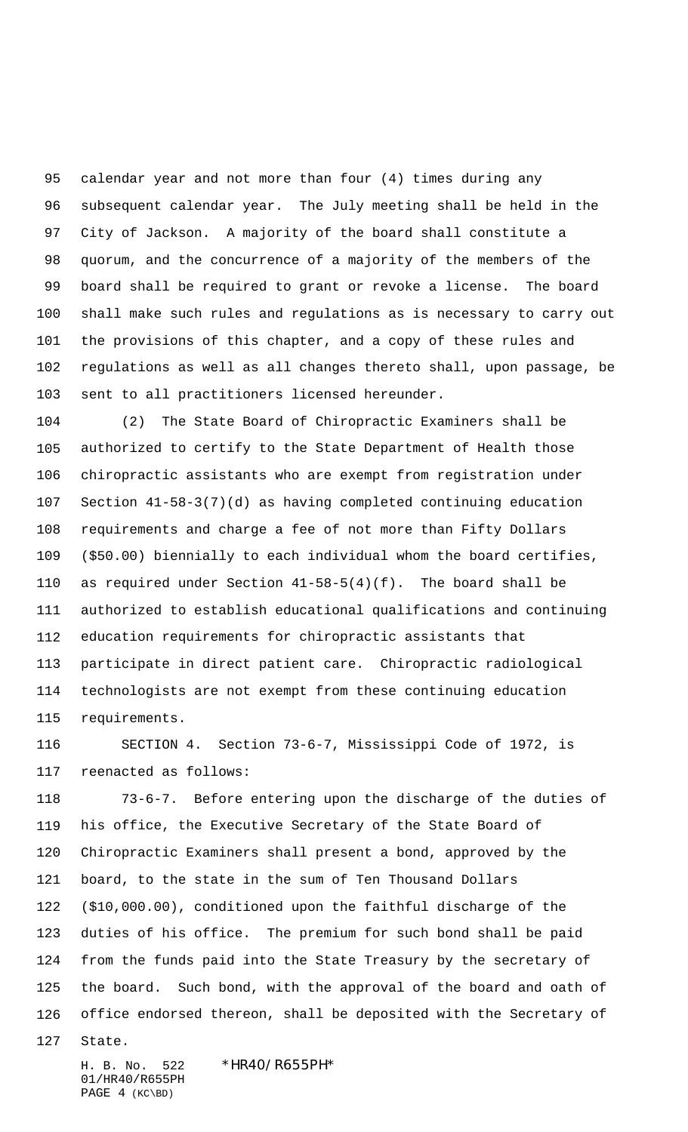calendar year and not more than four (4) times during any subsequent calendar year. The July meeting shall be held in the City of Jackson. A majority of the board shall constitute a quorum, and the concurrence of a majority of the members of the board shall be required to grant or revoke a license. The board shall make such rules and regulations as is necessary to carry out the provisions of this chapter, and a copy of these rules and regulations as well as all changes thereto shall, upon passage, be sent to all practitioners licensed hereunder.

 (2) The State Board of Chiropractic Examiners shall be authorized to certify to the State Department of Health those chiropractic assistants who are exempt from registration under Section 41-58-3(7)(d) as having completed continuing education requirements and charge a fee of not more than Fifty Dollars (\$50.00) biennially to each individual whom the board certifies, as required under Section 41-58-5(4)(f). The board shall be authorized to establish educational qualifications and continuing education requirements for chiropractic assistants that participate in direct patient care. Chiropractic radiological technologists are not exempt from these continuing education requirements.

 SECTION 4. Section 73-6-7, Mississippi Code of 1972, is reenacted as follows:

 73-6-7. Before entering upon the discharge of the duties of his office, the Executive Secretary of the State Board of Chiropractic Examiners shall present a bond, approved by the board, to the state in the sum of Ten Thousand Dollars (\$10,000.00), conditioned upon the faithful discharge of the duties of his office. The premium for such bond shall be paid from the funds paid into the State Treasury by the secretary of the board. Such bond, with the approval of the board and oath of office endorsed thereon, shall be deposited with the Secretary of

State.

H. B. No. 522 \*HR40/R655PH\* 01/HR40/R655PH PAGE 4 (KC\BD)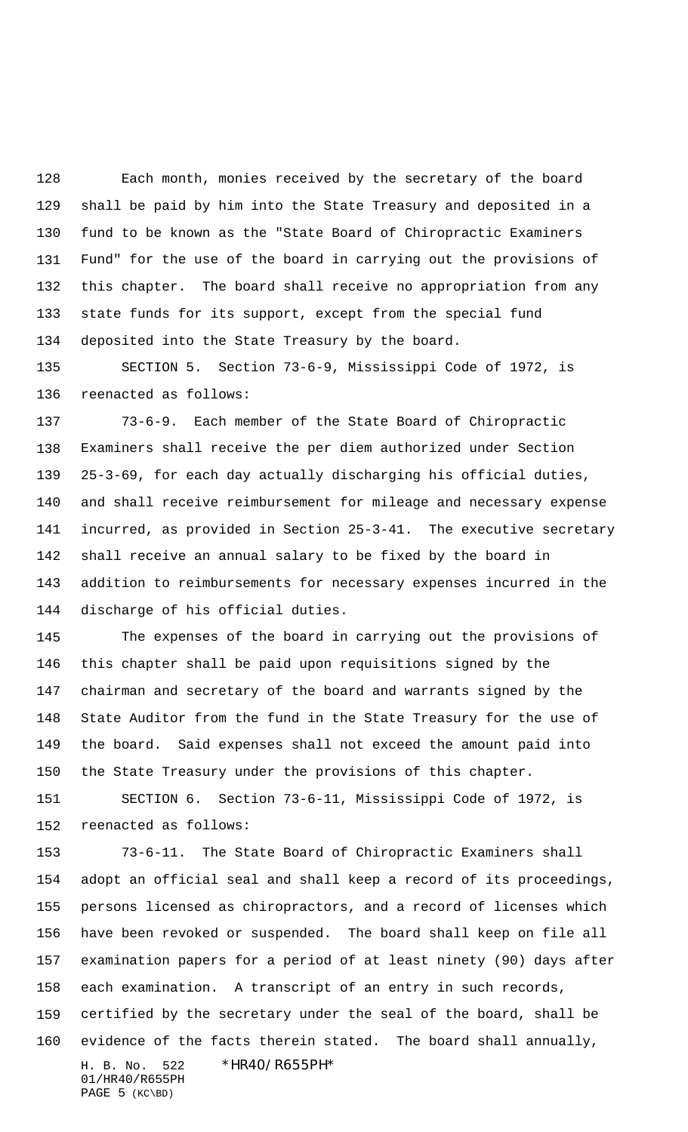Each month, monies received by the secretary of the board shall be paid by him into the State Treasury and deposited in a fund to be known as the "State Board of Chiropractic Examiners Fund" for the use of the board in carrying out the provisions of this chapter. The board shall receive no appropriation from any state funds for its support, except from the special fund deposited into the State Treasury by the board.

 SECTION 5. Section 73-6-9, Mississippi Code of 1972, is reenacted as follows:

 73-6-9. Each member of the State Board of Chiropractic Examiners shall receive the per diem authorized under Section 25-3-69, for each day actually discharging his official duties, and shall receive reimbursement for mileage and necessary expense incurred, as provided in Section 25-3-41. The executive secretary shall receive an annual salary to be fixed by the board in addition to reimbursements for necessary expenses incurred in the discharge of his official duties.

 The expenses of the board in carrying out the provisions of this chapter shall be paid upon requisitions signed by the chairman and secretary of the board and warrants signed by the State Auditor from the fund in the State Treasury for the use of the board. Said expenses shall not exceed the amount paid into the State Treasury under the provisions of this chapter.

 SECTION 6. Section 73-6-11, Mississippi Code of 1972, is reenacted as follows:

H. B. No. 522 \*HR40/R655PH\* 01/HR40/R655PH 73-6-11. The State Board of Chiropractic Examiners shall adopt an official seal and shall keep a record of its proceedings, persons licensed as chiropractors, and a record of licenses which have been revoked or suspended. The board shall keep on file all examination papers for a period of at least ninety (90) days after each examination. A transcript of an entry in such records, certified by the secretary under the seal of the board, shall be evidence of the facts therein stated. The board shall annually,

PAGE 5 (KC\BD)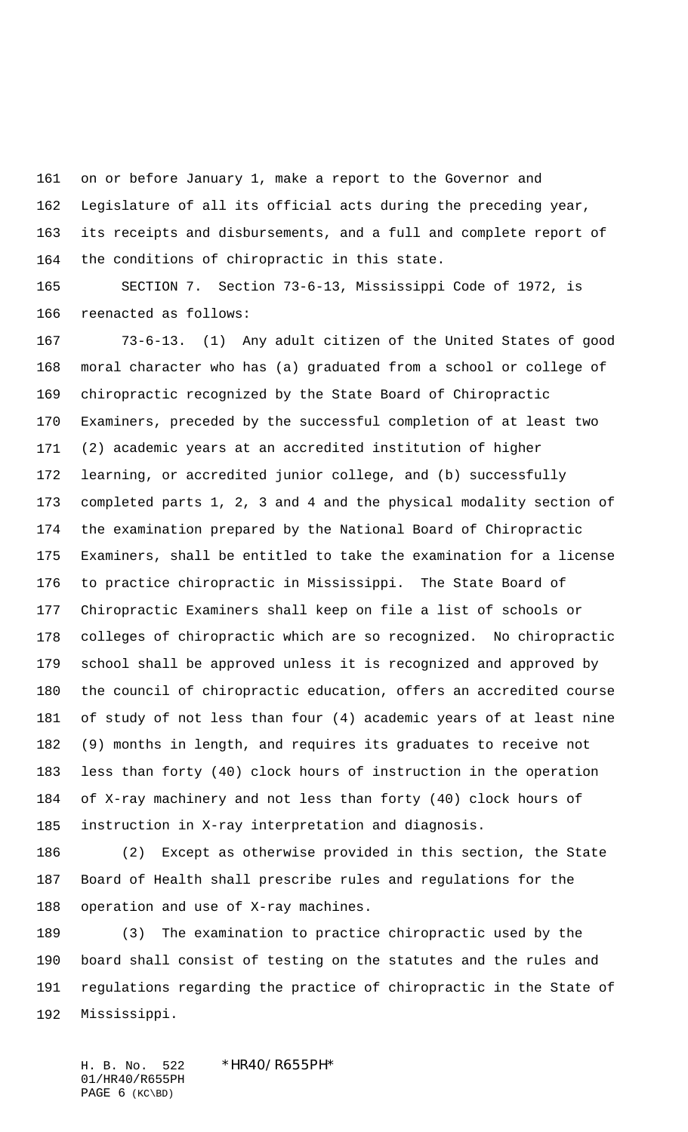on or before January 1, make a report to the Governor and Legislature of all its official acts during the preceding year, its receipts and disbursements, and a full and complete report of the conditions of chiropractic in this state.

 SECTION 7. Section 73-6-13, Mississippi Code of 1972, is reenacted as follows:

 73-6-13. (1) Any adult citizen of the United States of good moral character who has (a) graduated from a school or college of chiropractic recognized by the State Board of Chiropractic Examiners, preceded by the successful completion of at least two (2) academic years at an accredited institution of higher learning, or accredited junior college, and (b) successfully completed parts 1, 2, 3 and 4 and the physical modality section of the examination prepared by the National Board of Chiropractic Examiners, shall be entitled to take the examination for a license to practice chiropractic in Mississippi. The State Board of Chiropractic Examiners shall keep on file a list of schools or colleges of chiropractic which are so recognized. No chiropractic school shall be approved unless it is recognized and approved by the council of chiropractic education, offers an accredited course of study of not less than four (4) academic years of at least nine (9) months in length, and requires its graduates to receive not less than forty (40) clock hours of instruction in the operation of X-ray machinery and not less than forty (40) clock hours of instruction in X-ray interpretation and diagnosis.

 (2) Except as otherwise provided in this section, the State Board of Health shall prescribe rules and regulations for the operation and use of X-ray machines.

 (3) The examination to practice chiropractic used by the board shall consist of testing on the statutes and the rules and regulations regarding the practice of chiropractic in the State of Mississippi.

H. B. No. 522 \*HR40/R655PH\* 01/HR40/R655PH PAGE (KC\BD)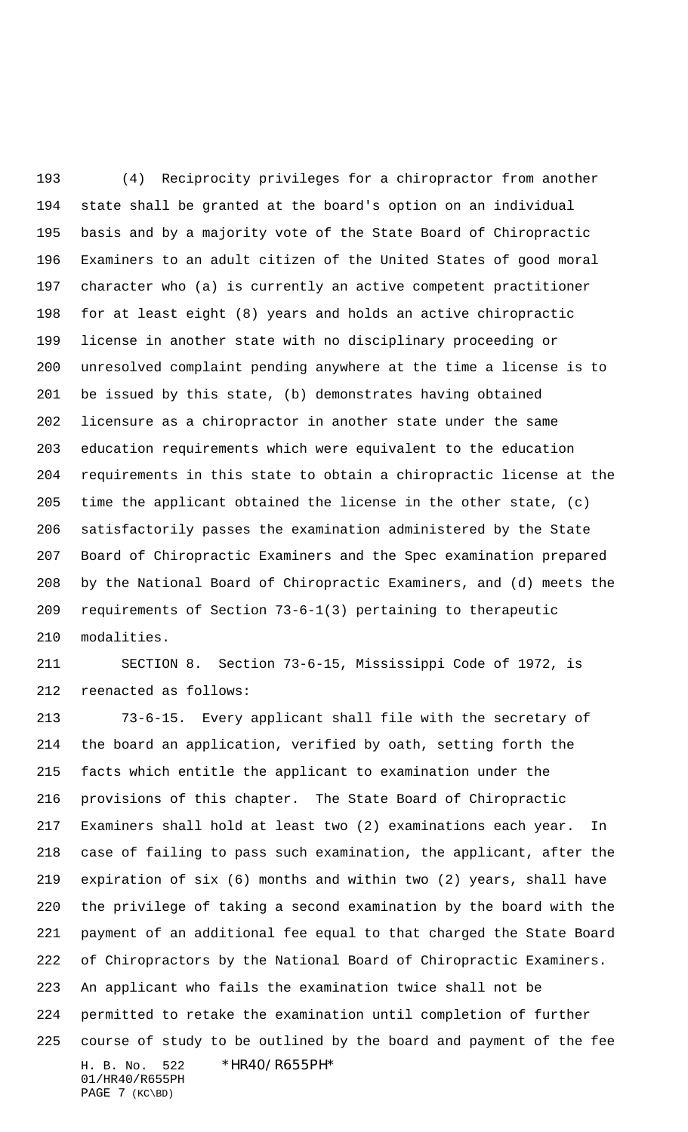(4) Reciprocity privileges for a chiropractor from another state shall be granted at the board's option on an individual basis and by a majority vote of the State Board of Chiropractic Examiners to an adult citizen of the United States of good moral character who (a) is currently an active competent practitioner for at least eight (8) years and holds an active chiropractic license in another state with no disciplinary proceeding or unresolved complaint pending anywhere at the time a license is to be issued by this state, (b) demonstrates having obtained licensure as a chiropractor in another state under the same education requirements which were equivalent to the education requirements in this state to obtain a chiropractic license at the time the applicant obtained the license in the other state, (c) satisfactorily passes the examination administered by the State Board of Chiropractic Examiners and the Spec examination prepared by the National Board of Chiropractic Examiners, and (d) meets the requirements of Section 73-6-1(3) pertaining to therapeutic modalities.

 SECTION 8. Section 73-6-15, Mississippi Code of 1972, is reenacted as follows:

H. B. No. 522 \*HR40/R655PH\* 01/HR40/R655PH 73-6-15. Every applicant shall file with the secretary of the board an application, verified by oath, setting forth the facts which entitle the applicant to examination under the provisions of this chapter. The State Board of Chiropractic Examiners shall hold at least two (2) examinations each year. In case of failing to pass such examination, the applicant, after the expiration of six (6) months and within two (2) years, shall have the privilege of taking a second examination by the board with the payment of an additional fee equal to that charged the State Board of Chiropractors by the National Board of Chiropractic Examiners. An applicant who fails the examination twice shall not be permitted to retake the examination until completion of further course of study to be outlined by the board and payment of the fee

PAGE 7 (KC\BD)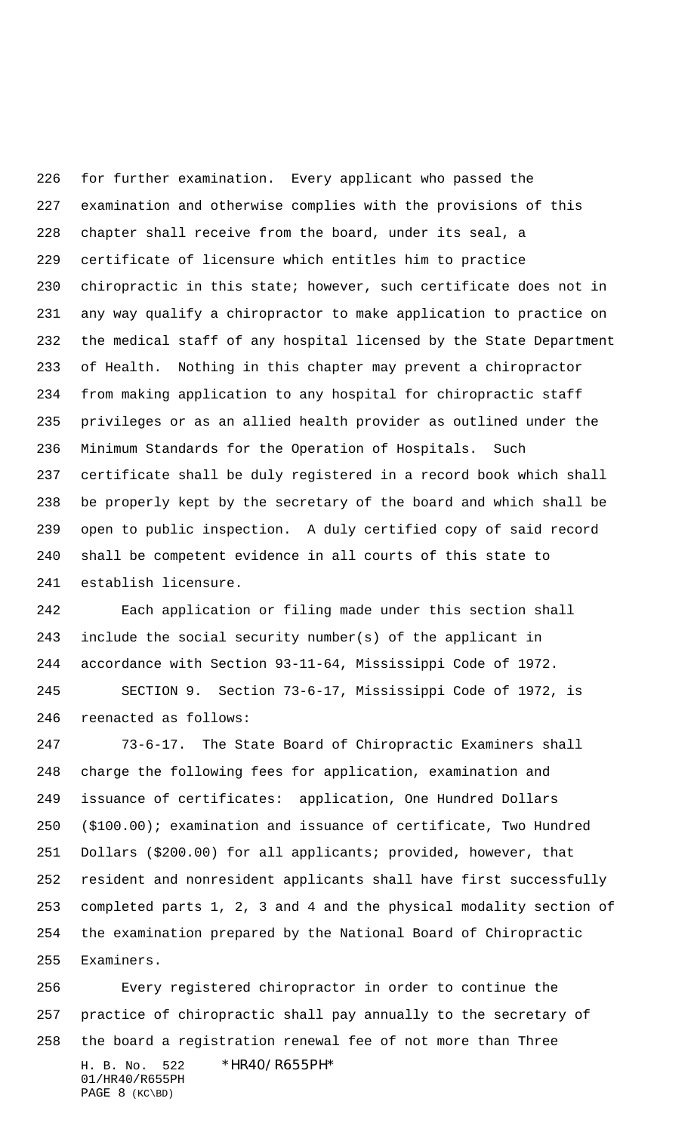for further examination. Every applicant who passed the examination and otherwise complies with the provisions of this chapter shall receive from the board, under its seal, a certificate of licensure which entitles him to practice chiropractic in this state; however, such certificate does not in any way qualify a chiropractor to make application to practice on the medical staff of any hospital licensed by the State Department of Health. Nothing in this chapter may prevent a chiropractor from making application to any hospital for chiropractic staff privileges or as an allied health provider as outlined under the Minimum Standards for the Operation of Hospitals. Such certificate shall be duly registered in a record book which shall be properly kept by the secretary of the board and which shall be open to public inspection. A duly certified copy of said record shall be competent evidence in all courts of this state to establish licensure.

 Each application or filing made under this section shall include the social security number(s) of the applicant in accordance with Section 93-11-64, Mississippi Code of 1972.

 SECTION 9. Section 73-6-17, Mississippi Code of 1972, is reenacted as follows:

 73-6-17. The State Board of Chiropractic Examiners shall charge the following fees for application, examination and issuance of certificates: application, One Hundred Dollars (\$100.00); examination and issuance of certificate, Two Hundred Dollars (\$200.00) for all applicants; provided, however, that resident and nonresident applicants shall have first successfully completed parts 1, 2, 3 and 4 and the physical modality section of the examination prepared by the National Board of Chiropractic Examiners.

H. B. No. 522 \*HR40/R655PH\* Every registered chiropractor in order to continue the practice of chiropractic shall pay annually to the secretary of the board a registration renewal fee of not more than Three

```
01/HR40/R655PH
PAGE 8 (KC\BD)
```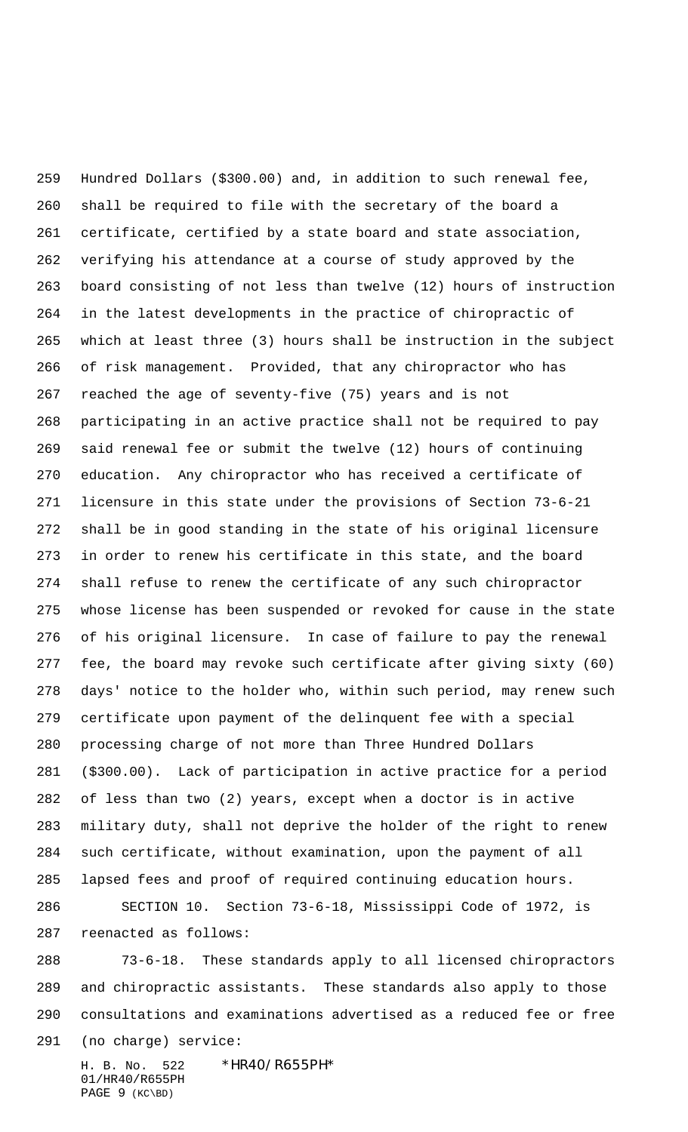Hundred Dollars (\$300.00) and, in addition to such renewal fee, shall be required to file with the secretary of the board a certificate, certified by a state board and state association, verifying his attendance at a course of study approved by the board consisting of not less than twelve (12) hours of instruction in the latest developments in the practice of chiropractic of which at least three (3) hours shall be instruction in the subject of risk management. Provided, that any chiropractor who has reached the age of seventy-five (75) years and is not participating in an active practice shall not be required to pay said renewal fee or submit the twelve (12) hours of continuing education. Any chiropractor who has received a certificate of licensure in this state under the provisions of Section 73-6-21 shall be in good standing in the state of his original licensure in order to renew his certificate in this state, and the board shall refuse to renew the certificate of any such chiropractor whose license has been suspended or revoked for cause in the state of his original licensure. In case of failure to pay the renewal fee, the board may revoke such certificate after giving sixty (60) days' notice to the holder who, within such period, may renew such certificate upon payment of the delinquent fee with a special processing charge of not more than Three Hundred Dollars (\$300.00). Lack of participation in active practice for a period of less than two (2) years, except when a doctor is in active military duty, shall not deprive the holder of the right to renew such certificate, without examination, upon the payment of all lapsed fees and proof of required continuing education hours. SECTION 10. Section 73-6-18, Mississippi Code of 1972, is

 73-6-18. These standards apply to all licensed chiropractors and chiropractic assistants. These standards also apply to those consultations and examinations advertised as a reduced fee or free (no charge) service:

H. B. No. 522 \*HR40/R655PH\* 01/HR40/R655PH PAGE 9 (KC\BD)

reenacted as follows: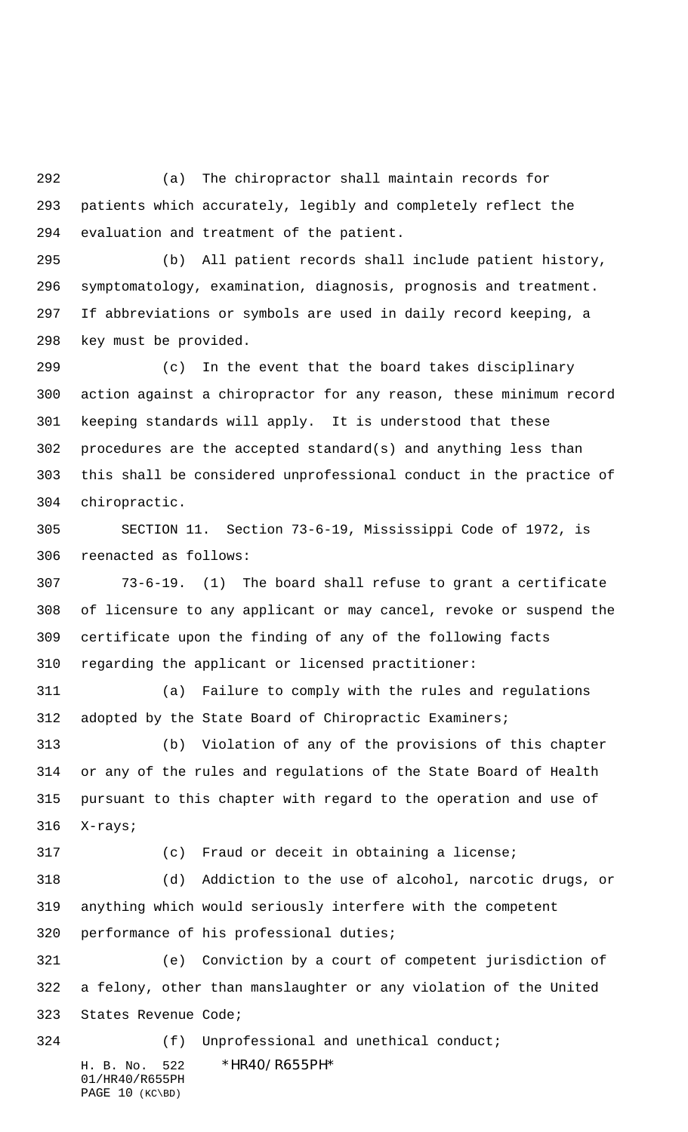(a) The chiropractor shall maintain records for patients which accurately, legibly and completely reflect the evaluation and treatment of the patient.

 (b) All patient records shall include patient history, symptomatology, examination, diagnosis, prognosis and treatment. If abbreviations or symbols are used in daily record keeping, a key must be provided.

 (c) In the event that the board takes disciplinary action against a chiropractor for any reason, these minimum record keeping standards will apply. It is understood that these procedures are the accepted standard(s) and anything less than this shall be considered unprofessional conduct in the practice of chiropractic.

 SECTION 11. Section 73-6-19, Mississippi Code of 1972, is reenacted as follows:

 73-6-19. (1) The board shall refuse to grant a certificate of licensure to any applicant or may cancel, revoke or suspend the certificate upon the finding of any of the following facts regarding the applicant or licensed practitioner:

 (a) Failure to comply with the rules and regulations adopted by the State Board of Chiropractic Examiners;

 (b) Violation of any of the provisions of this chapter or any of the rules and regulations of the State Board of Health pursuant to this chapter with regard to the operation and use of X-rays;

(c) Fraud or deceit in obtaining a license;

 (d) Addiction to the use of alcohol, narcotic drugs, or anything which would seriously interfere with the competent performance of his professional duties;

 (e) Conviction by a court of competent jurisdiction of a felony, other than manslaughter or any violation of the United States Revenue Code;

H. B. No. 522 \*HR40/R655PH\* 01/HR40/R655PH (f) Unprofessional and unethical conduct;

PAGE 10 (KC\BD)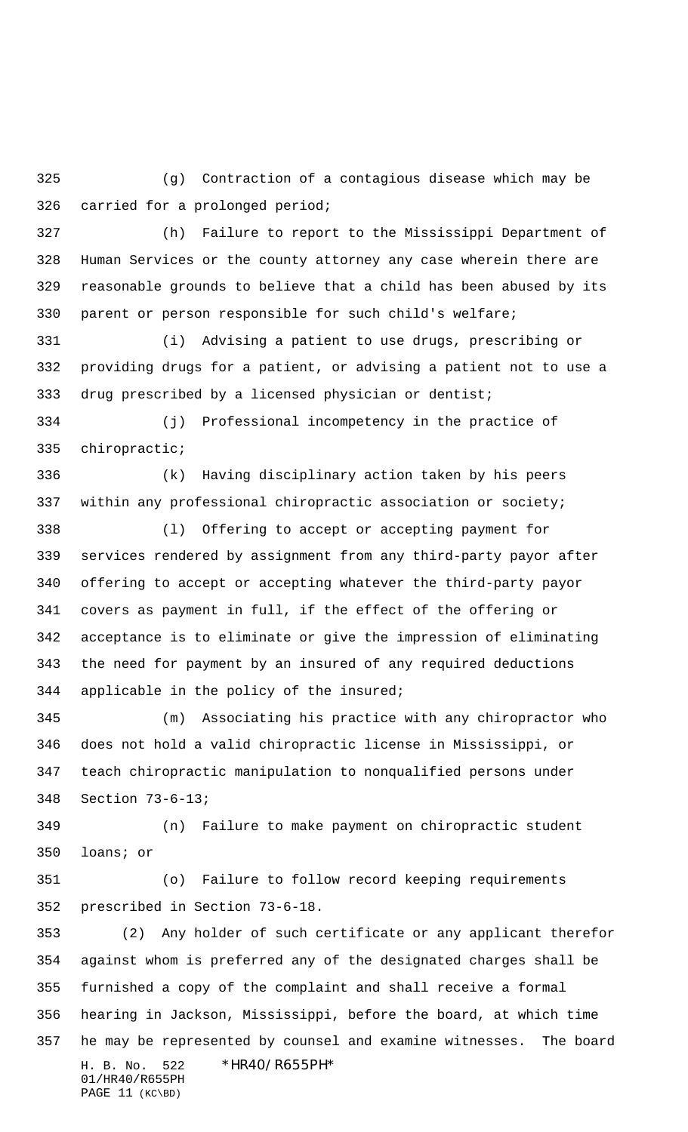(g) Contraction of a contagious disease which may be carried for a prolonged period;

 (h) Failure to report to the Mississippi Department of Human Services or the county attorney any case wherein there are reasonable grounds to believe that a child has been abused by its parent or person responsible for such child's welfare;

 (i) Advising a patient to use drugs, prescribing or providing drugs for a patient, or advising a patient not to use a 333 drug prescribed by a licensed physician or dentist;

 (j) Professional incompetency in the practice of chiropractic;

 (k) Having disciplinary action taken by his peers within any professional chiropractic association or society;

 (l) Offering to accept or accepting payment for services rendered by assignment from any third-party payor after offering to accept or accepting whatever the third-party payor covers as payment in full, if the effect of the offering or acceptance is to eliminate or give the impression of eliminating the need for payment by an insured of any required deductions applicable in the policy of the insured;

 (m) Associating his practice with any chiropractor who does not hold a valid chiropractic license in Mississippi, or teach chiropractic manipulation to nonqualified persons under Section 73-6-13;

 (n) Failure to make payment on chiropractic student loans; or

 (o) Failure to follow record keeping requirements prescribed in Section 73-6-18.

H. B. No. 522 \*HR40/R655PH\* 01/HR40/R655PH PAGE 11 (KC\BD) (2) Any holder of such certificate or any applicant therefor against whom is preferred any of the designated charges shall be furnished a copy of the complaint and shall receive a formal hearing in Jackson, Mississippi, before the board, at which time he may be represented by counsel and examine witnesses. The board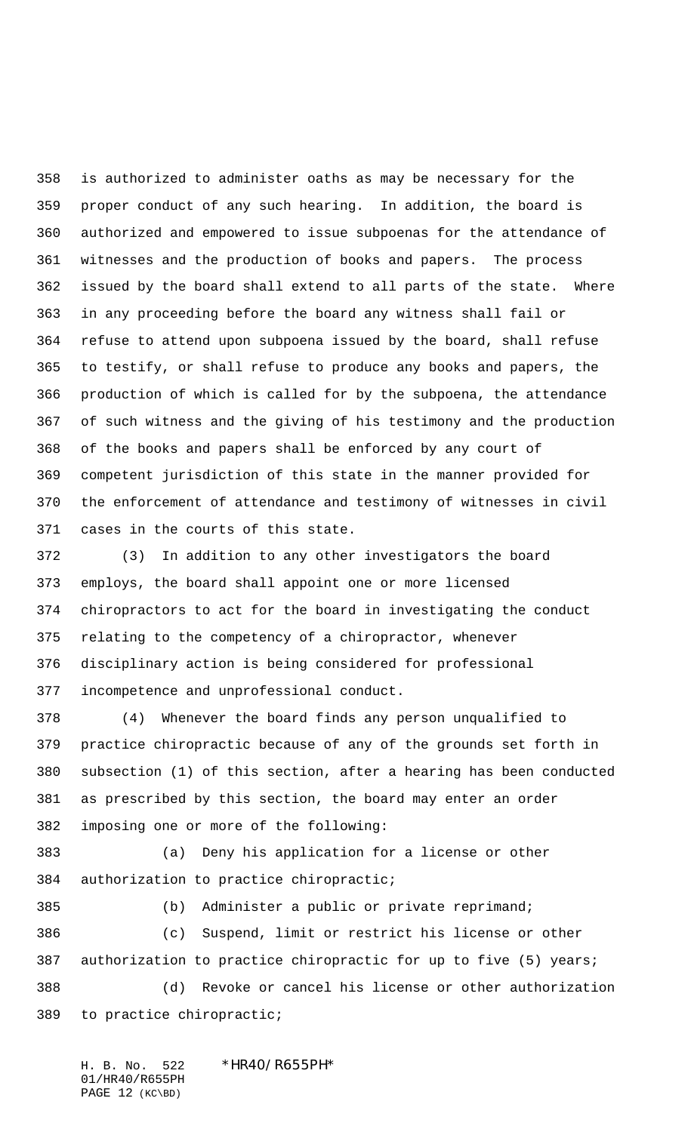is authorized to administer oaths as may be necessary for the proper conduct of any such hearing. In addition, the board is authorized and empowered to issue subpoenas for the attendance of witnesses and the production of books and papers. The process issued by the board shall extend to all parts of the state. Where in any proceeding before the board any witness shall fail or refuse to attend upon subpoena issued by the board, shall refuse to testify, or shall refuse to produce any books and papers, the production of which is called for by the subpoena, the attendance of such witness and the giving of his testimony and the production of the books and papers shall be enforced by any court of competent jurisdiction of this state in the manner provided for the enforcement of attendance and testimony of witnesses in civil cases in the courts of this state.

 (3) In addition to any other investigators the board employs, the board shall appoint one or more licensed chiropractors to act for the board in investigating the conduct relating to the competency of a chiropractor, whenever disciplinary action is being considered for professional incompetence and unprofessional conduct.

 (4) Whenever the board finds any person unqualified to practice chiropractic because of any of the grounds set forth in subsection (1) of this section, after a hearing has been conducted as prescribed by this section, the board may enter an order imposing one or more of the following:

 (a) Deny his application for a license or other authorization to practice chiropractic;

 (b) Administer a public or private reprimand; (c) Suspend, limit or restrict his license or other authorization to practice chiropractic for up to five (5) years; (d) Revoke or cancel his license or other authorization to practice chiropractic;

H. B. No. 522 \*HR40/R655PH\* 01/HR40/R655PH PAGE 12 (KC\BD)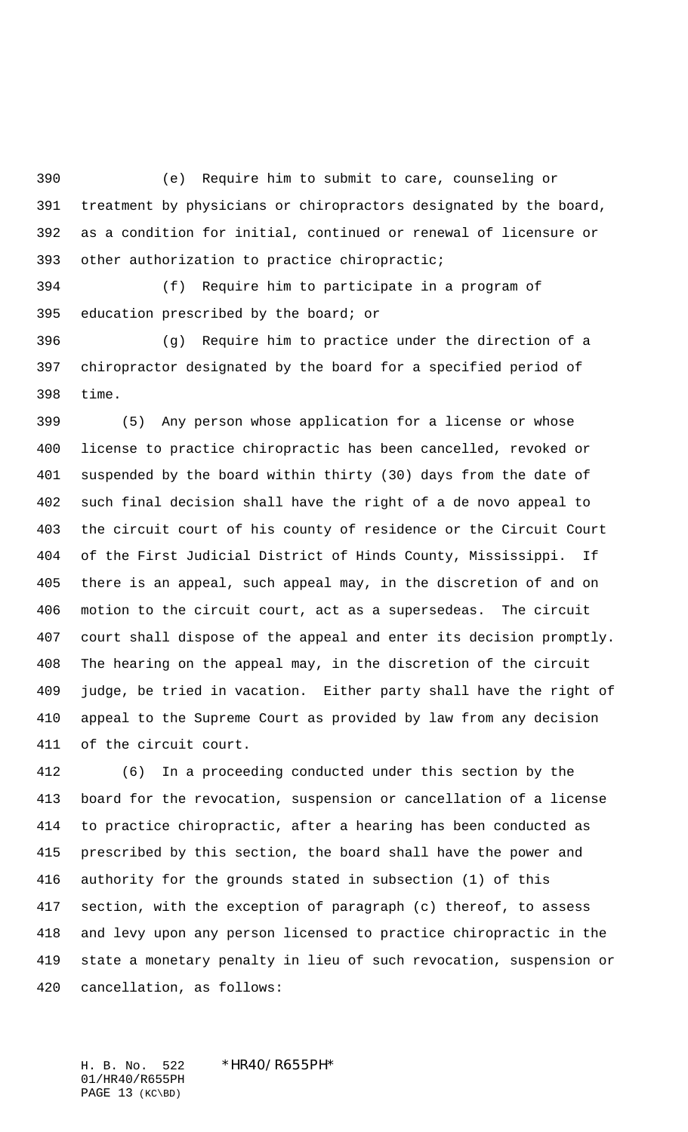(e) Require him to submit to care, counseling or treatment by physicians or chiropractors designated by the board, as a condition for initial, continued or renewal of licensure or other authorization to practice chiropractic;

 (f) Require him to participate in a program of education prescribed by the board; or

 (g) Require him to practice under the direction of a chiropractor designated by the board for a specified period of time.

 (5) Any person whose application for a license or whose license to practice chiropractic has been cancelled, revoked or suspended by the board within thirty (30) days from the date of such final decision shall have the right of a de novo appeal to the circuit court of his county of residence or the Circuit Court of the First Judicial District of Hinds County, Mississippi. If there is an appeal, such appeal may, in the discretion of and on motion to the circuit court, act as a supersedeas. The circuit court shall dispose of the appeal and enter its decision promptly. The hearing on the appeal may, in the discretion of the circuit judge, be tried in vacation. Either party shall have the right of appeal to the Supreme Court as provided by law from any decision of the circuit court.

 (6) In a proceeding conducted under this section by the board for the revocation, suspension or cancellation of a license to practice chiropractic, after a hearing has been conducted as prescribed by this section, the board shall have the power and authority for the grounds stated in subsection (1) of this section, with the exception of paragraph (c) thereof, to assess and levy upon any person licensed to practice chiropractic in the state a monetary penalty in lieu of such revocation, suspension or cancellation, as follows:

H. B. No. 522 \*HR40/R655PH\* 01/HR40/R655PH PAGE 13 (KC\BD)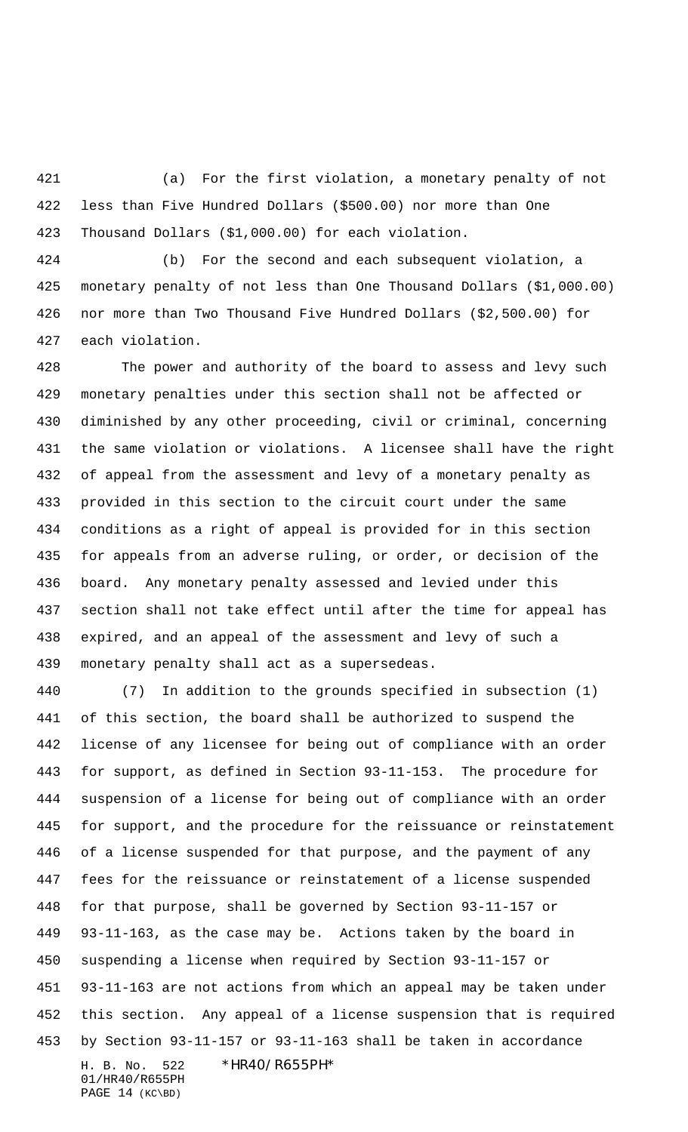(a) For the first violation, a monetary penalty of not less than Five Hundred Dollars (\$500.00) nor more than One Thousand Dollars (\$1,000.00) for each violation.

 (b) For the second and each subsequent violation, a monetary penalty of not less than One Thousand Dollars (\$1,000.00) nor more than Two Thousand Five Hundred Dollars (\$2,500.00) for each violation.

 The power and authority of the board to assess and levy such monetary penalties under this section shall not be affected or diminished by any other proceeding, civil or criminal, concerning the same violation or violations. A licensee shall have the right of appeal from the assessment and levy of a monetary penalty as provided in this section to the circuit court under the same conditions as a right of appeal is provided for in this section for appeals from an adverse ruling, or order, or decision of the board. Any monetary penalty assessed and levied under this section shall not take effect until after the time for appeal has expired, and an appeal of the assessment and levy of such a monetary penalty shall act as a supersedeas.

H. B. No. 522 \*HR40/R655PH\* 01/HR40/R655PH (7) In addition to the grounds specified in subsection (1) of this section, the board shall be authorized to suspend the license of any licensee for being out of compliance with an order for support, as defined in Section 93-11-153. The procedure for suspension of a license for being out of compliance with an order for support, and the procedure for the reissuance or reinstatement of a license suspended for that purpose, and the payment of any fees for the reissuance or reinstatement of a license suspended for that purpose, shall be governed by Section 93-11-157 or 93-11-163, as the case may be. Actions taken by the board in suspending a license when required by Section 93-11-157 or 93-11-163 are not actions from which an appeal may be taken under this section. Any appeal of a license suspension that is required by Section 93-11-157 or 93-11-163 shall be taken in accordance

PAGE 14 (KC\BD)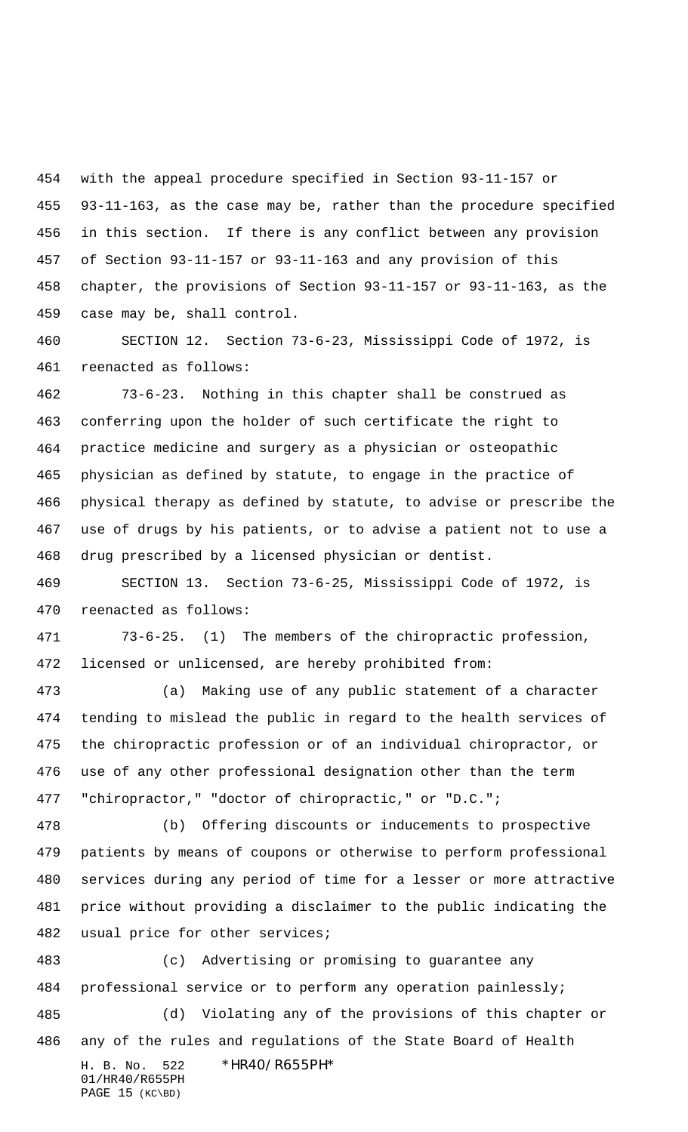with the appeal procedure specified in Section 93-11-157 or 93-11-163, as the case may be, rather than the procedure specified in this section. If there is any conflict between any provision of Section 93-11-157 or 93-11-163 and any provision of this chapter, the provisions of Section 93-11-157 or 93-11-163, as the case may be, shall control.

 SECTION 12. Section 73-6-23, Mississippi Code of 1972, is reenacted as follows:

 73-6-23. Nothing in this chapter shall be construed as conferring upon the holder of such certificate the right to practice medicine and surgery as a physician or osteopathic physician as defined by statute, to engage in the practice of physical therapy as defined by statute, to advise or prescribe the use of drugs by his patients, or to advise a patient not to use a drug prescribed by a licensed physician or dentist.

 SECTION 13. Section 73-6-25, Mississippi Code of 1972, is reenacted as follows:

 73-6-25. (1) The members of the chiropractic profession, licensed or unlicensed, are hereby prohibited from:

 (a) Making use of any public statement of a character tending to mislead the public in regard to the health services of the chiropractic profession or of an individual chiropractor, or use of any other professional designation other than the term "chiropractor," "doctor of chiropractic," or "D.C.";

 (b) Offering discounts or inducements to prospective patients by means of coupons or otherwise to perform professional services during any period of time for a lesser or more attractive price without providing a disclaimer to the public indicating the usual price for other services;

 (c) Advertising or promising to guarantee any professional service or to perform any operation painlessly; (d) Violating any of the provisions of this chapter or any of the rules and regulations of the State Board of Health

01/HR40/R655PH PAGE 15 (KC\BD)

H. B. No. 522 \*HR40/R655PH\*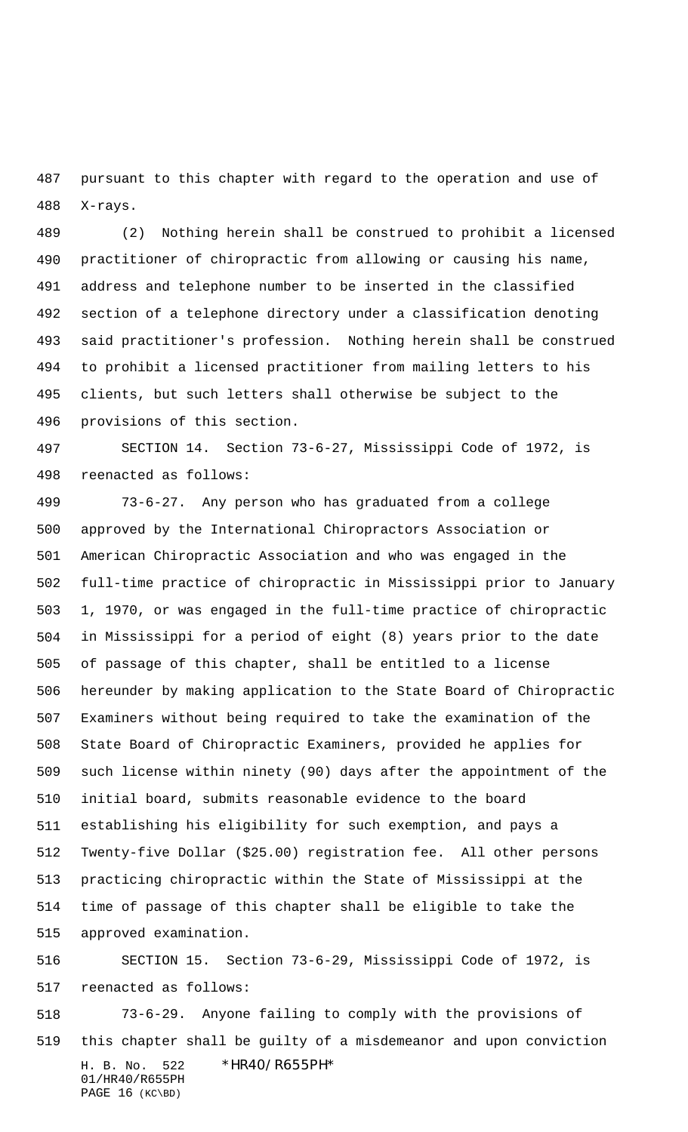pursuant to this chapter with regard to the operation and use of X-rays.

 (2) Nothing herein shall be construed to prohibit a licensed practitioner of chiropractic from allowing or causing his name, address and telephone number to be inserted in the classified section of a telephone directory under a classification denoting said practitioner's profession. Nothing herein shall be construed to prohibit a licensed practitioner from mailing letters to his clients, but such letters shall otherwise be subject to the provisions of this section.

 SECTION 14. Section 73-6-27, Mississippi Code of 1972, is reenacted as follows:

 73-6-27. Any person who has graduated from a college approved by the International Chiropractors Association or American Chiropractic Association and who was engaged in the full-time practice of chiropractic in Mississippi prior to January 1, 1970, or was engaged in the full-time practice of chiropractic in Mississippi for a period of eight (8) years prior to the date of passage of this chapter, shall be entitled to a license hereunder by making application to the State Board of Chiropractic Examiners without being required to take the examination of the State Board of Chiropractic Examiners, provided he applies for such license within ninety (90) days after the appointment of the initial board, submits reasonable evidence to the board establishing his eligibility for such exemption, and pays a Twenty-five Dollar (\$25.00) registration fee. All other persons practicing chiropractic within the State of Mississippi at the time of passage of this chapter shall be eligible to take the approved examination.

 SECTION 15. Section 73-6-29, Mississippi Code of 1972, is reenacted as follows:

H. B. No. 522 \*HR40/R655PH\* 01/HR40/R655PH PAGE 16 (KC\BD) 73-6-29. Anyone failing to comply with the provisions of this chapter shall be guilty of a misdemeanor and upon conviction